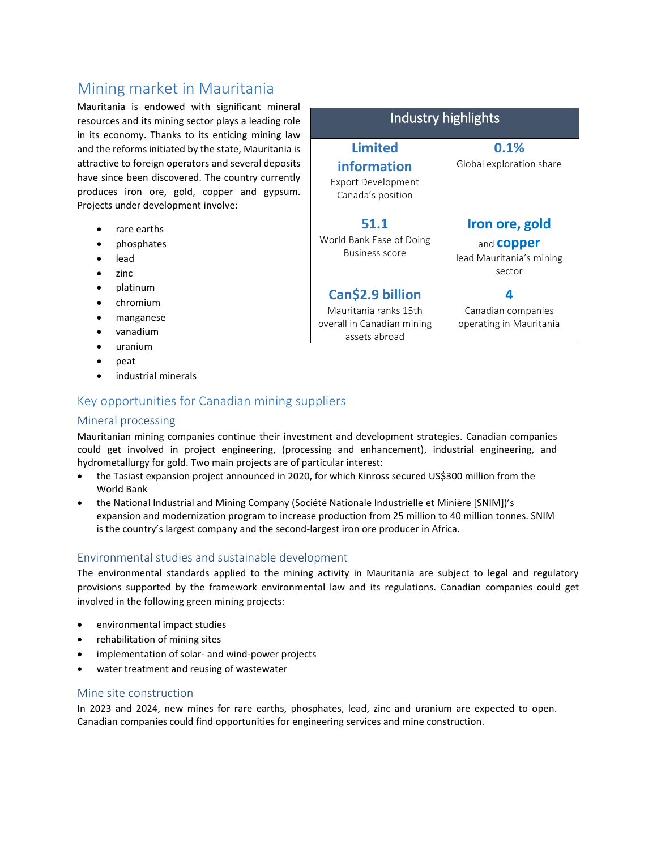# Mining market in Mauritania

Mauritania is endowed with significant mineral resources and its mining sector plays a leading role in its economy. Thanks to its enticing mining law and the reforms initiated by the state, Mauritania is attractive to foreign operators and several deposits have since been discovered. The country currently produces iron ore, gold, copper and gypsum. Projects under development involve:

- rare earths
- phosphates
- lead
- $\bullet$  zinc
- platinum
- chromium
- manganese
- vanadium
- uranium
- peat
- industrial minerals

## Key opportunities for Canadian mining suppliers

#### Mineral processing

Mauritanian mining companies continue their investment and development strategies. Canadian companies could get involved in project engineering, (processing and enhancement), industrial engineering, and hydrometallurgy for gold. Two main projects are of particular interest:

- the Tasiast expansion project announced in 2020, for which Kinross secured US\$300 million from the World Bank
- the National Industrial and Mining Company (Société Nationale Industrielle et Minière [SNIM])'s expansion and modernization program to increase production from 25 million to 40 million tonnes. SNIM is the country's largest company and the second-largest iron ore producer in Africa.

## Environmental studies and sustainable development

The environmental standards applied to the mining activity in Mauritania are subject to legal and regulatory provisions supported by the framework environmental law and its regulations. Canadian companies could get involved in the following green mining projects:

- environmental impact studies
- rehabilitation of mining sites
- implementation of solar- and wind-power projects
- water treatment and reusing of wastewater

#### Mine site construction

In 2023 and 2024, new mines for rare earths, phosphates, lead, zinc and uranium are expected to open. Canadian companies could find opportunities for engineering services and mine construction.

**Limited information**  Export Development Canada's position **0.1%** Global exploration share

Industry highlights

**Iron ore, gold** 

and **copper** lead Mauritania's mining sector

# **Can\$2.9 billion**

Mauritania ranks 15th overall in Canadian mining assets abroad

**51.1** World Bank Ease of Doing Business score

> Canadian companies operating in Mauritania

**4**